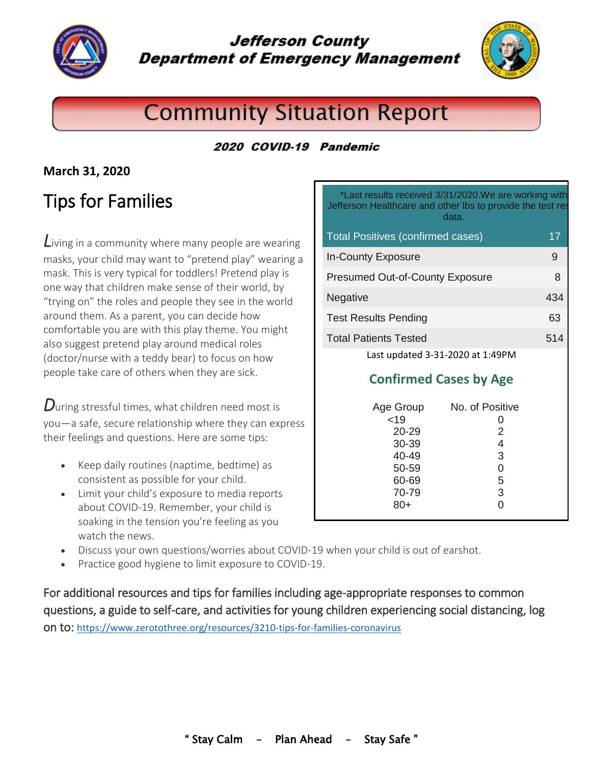

**Jefferson County Department of Emergency Management** 



# **Community Situation Report**

### 2020 COVID-19 Pandemic

### **March 31, 2020**

## Tips for Families

*L*iving in a community where many people are wearing masks, your child may want to "pretend play" wearing a mask. This is very typical for toddlers! Pretend play is one way that children make sense of their world, by "trying on" the roles and people they see in the world around them. As a parent, you can decide how comfortable you are with this play theme. You might also suggest pretend play around medical roles (doctor/nurse with a teddy bear) to focus on how people take care of others when they are sick.

*D*uring stressful times, what children need most is you—a safe, secure relationship where they can express their feelings and questions. Here are some tips:

- Keep daily routines (naptime, bedtime) as consistent as possible for your child.
- Limit your child's exposure to media reports about COVID-19. Remember, your child is soaking in the tension you're feeling as you watch the news.

\*Last results received 3/31/2020.We are working with Jefferson Healthcare and other lbs to provide the test res data.

| <b>Total Positives (confirmed cases)</b> | 17  |
|------------------------------------------|-----|
| <b>In-County Exposure</b>                | 9   |
| <b>Presumed Out-of-County Exposure</b>   | 8   |
| Negative                                 | 434 |
| <b>Test Results Pending</b>              | 63  |
| <b>Total Patients Tested</b>             | 514 |
| Last updated 3-31-2020 at 1:49PM         |     |

### **Confirmed Cases by Age**

| Age Group | No. of Positive |
|-----------|-----------------|
| < 19      |                 |
| 20-29     | 2               |
| 30-39     |                 |
| 40-49     | 3               |
| 50-59     |                 |
| 60-69     | 5               |
| 70-79     | 3               |
| $80+$     |                 |
|           |                 |

- Discuss your own questions/worries about COVID-19 when your child is out of earshot.
- Practice good hygiene to limit exposure to COVID-19.

For additional resources and tips for families including age-appropriate responses to common questions, a guide to self-care, and activities for young children experiencing social distancing, log on to: <https://www.zerotothree.org/resources/3210-tips-for-families-coronavirus>